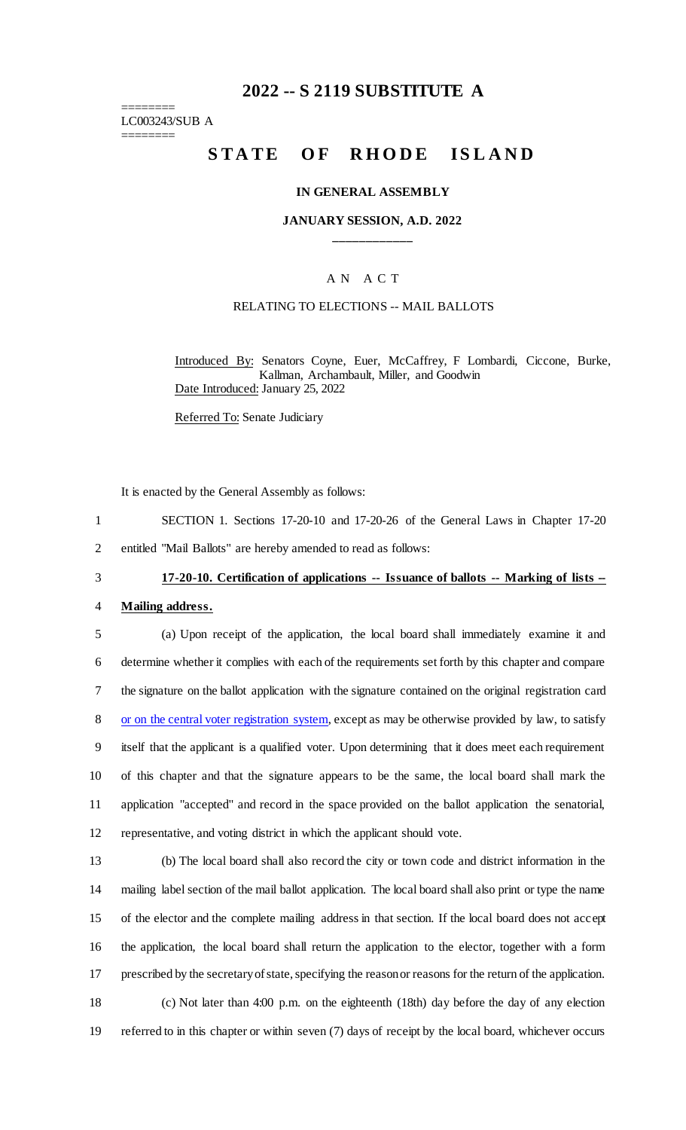# **2022 -- S 2119 SUBSTITUTE A**

======== LC003243/SUB A ========

# STATE OF RHODE ISLAND

#### **IN GENERAL ASSEMBLY**

**JANUARY SESSION, A.D. 2022 \_\_\_\_\_\_\_\_\_\_\_\_**

### A N A C T

#### RELATING TO ELECTIONS -- MAIL BALLOTS

Introduced By: Senators Coyne, Euer, McCaffrey, F Lombardi, Ciccone, Burke, Kallman, Archambault, Miller, and Goodwin Date Introduced: January 25, 2022

Referred To: Senate Judiciary

It is enacted by the General Assembly as follows:

- 1 SECTION 1. Sections 17-20-10 and 17-20-26 of the General Laws in Chapter 17-20
- 2 entitled "Mail Ballots" are hereby amended to read as follows:

# 3 **17-20-10. Certification of applications -- Issuance of ballots -- Marking of lists --**

#### 4 **Mailing address.**

- 5 (a) Upon receipt of the application, the local board shall immediately examine it and 6 determine whether it complies with each of the requirements set forth by this chapter and compare 7 the signature on the ballot application with the signature contained on the original registration card 8 or on the central voter registration system, except as may be otherwise provided by law, to satisfy 9 itself that the applicant is a qualified voter. Upon determining that it does meet each requirement 10 of this chapter and that the signature appears to be the same, the local board shall mark the 11 application "accepted" and record in the space provided on the ballot application the senatorial, 12 representative, and voting district in which the applicant should vote.
- 

 (b) The local board shall also record the city or town code and district information in the mailing label section of the mail ballot application. The local board shall also print or type the name of the elector and the complete mailing address in that section. If the local board does not accept the application, the local board shall return the application to the elector, together with a form prescribed by the secretary of state, specifying the reason or reasons for the return of the application. (c) Not later than 4:00 p.m. on the eighteenth (18th) day before the day of any election referred to in this chapter or within seven (7) days of receipt by the local board, whichever occurs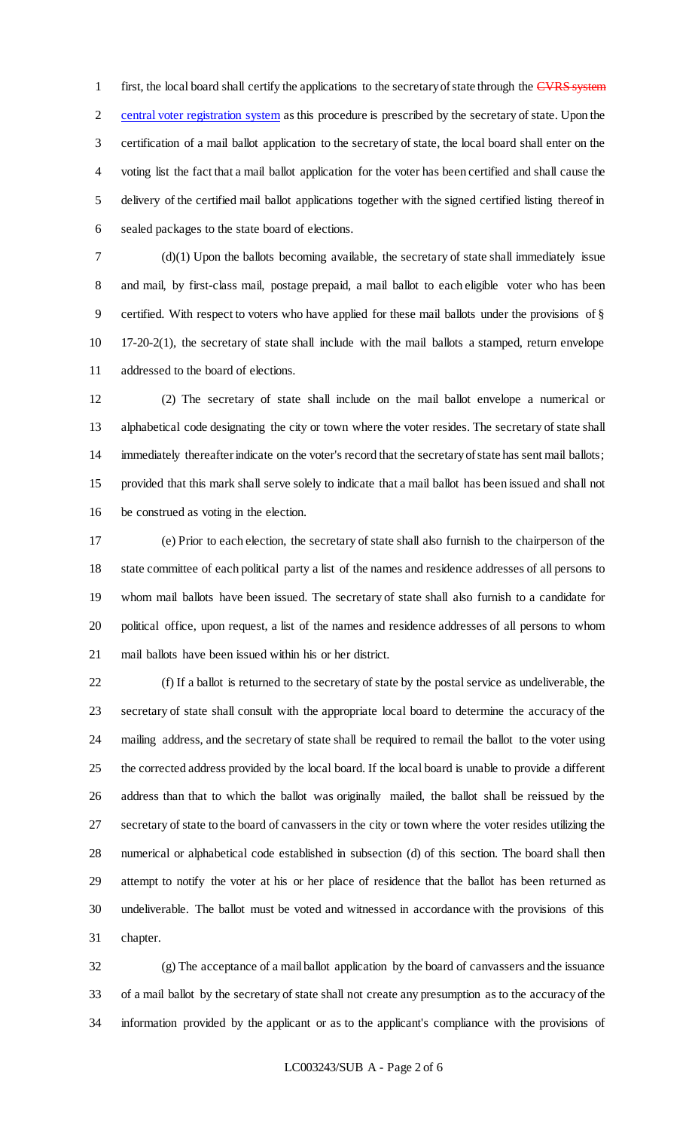1 first, the local board shall certify the applications to the secretary of state through the CVRS system central voter registration system as this procedure is prescribed by the secretary of state. Upon the certification of a mail ballot application to the secretary of state, the local board shall enter on the voting list the fact that a mail ballot application for the voter has been certified and shall cause the delivery of the certified mail ballot applications together with the signed certified listing thereof in sealed packages to the state board of elections.

 (d)(1) Upon the ballots becoming available, the secretary of state shall immediately issue and mail, by first-class mail, postage prepaid, a mail ballot to each eligible voter who has been certified. With respect to voters who have applied for these mail ballots under the provisions of § 17-20-2(1), the secretary of state shall include with the mail ballots a stamped, return envelope addressed to the board of elections.

 (2) The secretary of state shall include on the mail ballot envelope a numerical or alphabetical code designating the city or town where the voter resides. The secretary of state shall immediately thereafter indicate on the voter's record that the secretary of state has sent mail ballots; provided that this mark shall serve solely to indicate that a mail ballot has been issued and shall not be construed as voting in the election.

 (e) Prior to each election, the secretary of state shall also furnish to the chairperson of the state committee of each political party a list of the names and residence addresses of all persons to whom mail ballots have been issued. The secretary of state shall also furnish to a candidate for political office, upon request, a list of the names and residence addresses of all persons to whom mail ballots have been issued within his or her district.

 (f) If a ballot is returned to the secretary of state by the postal service as undeliverable, the secretary of state shall consult with the appropriate local board to determine the accuracy of the mailing address, and the secretary of state shall be required to remail the ballot to the voter using the corrected address provided by the local board. If the local board is unable to provide a different address than that to which the ballot was originally mailed, the ballot shall be reissued by the secretary of state to the board of canvassers in the city or town where the voter resides utilizing the numerical or alphabetical code established in subsection (d) of this section. The board shall then attempt to notify the voter at his or her place of residence that the ballot has been returned as undeliverable. The ballot must be voted and witnessed in accordance with the provisions of this chapter.

 (g) The acceptance of a mail ballot application by the board of canvassers and the issuance of a mail ballot by the secretary of state shall not create any presumption as to the accuracy of the information provided by the applicant or as to the applicant's compliance with the provisions of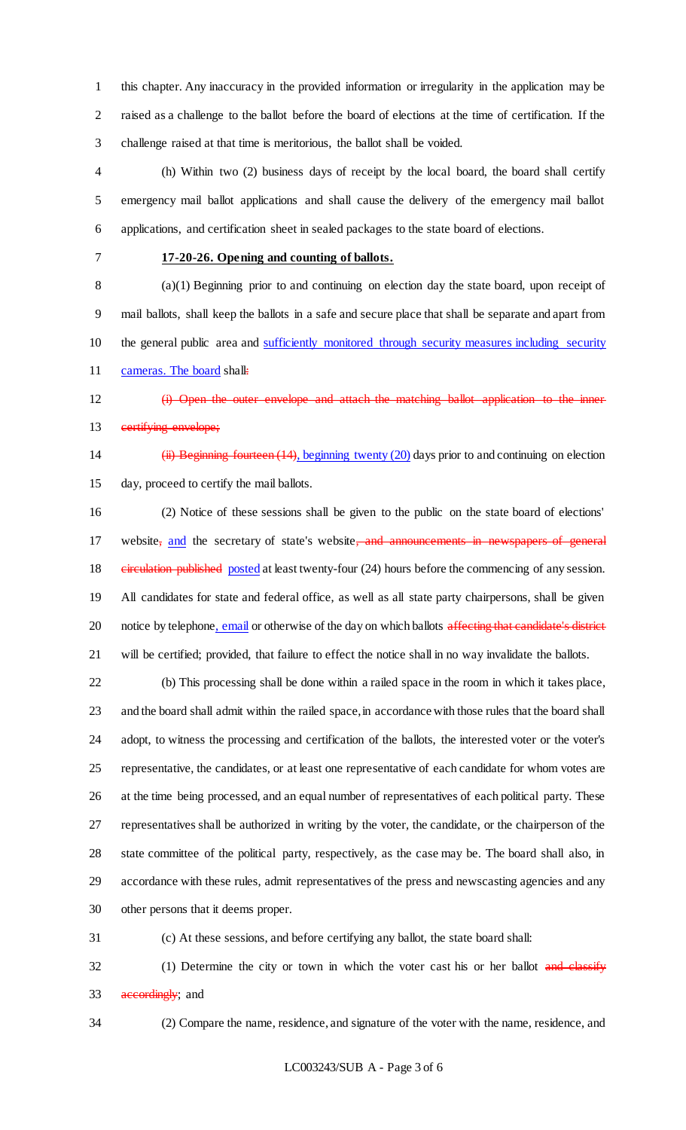this chapter. Any inaccuracy in the provided information or irregularity in the application may be raised as a challenge to the ballot before the board of elections at the time of certification. If the challenge raised at that time is meritorious, the ballot shall be voided.

 (h) Within two (2) business days of receipt by the local board, the board shall certify emergency mail ballot applications and shall cause the delivery of the emergency mail ballot applications, and certification sheet in sealed packages to the state board of elections.

## **17-20-26. Opening and counting of ballots.**

 (a)(1) Beginning prior to and continuing on election day the state board, upon receipt of mail ballots, shall keep the ballots in a safe and secure place that shall be separate and apart from the general public area and sufficiently monitored through security measures including security 11 cameras. The board shall:

(i) Open the outer envelope and attach the matching ballot application to the inner

13 certifying envelope;

(ii) Beginning fourteen (14), beginning twenty (20) days prior to and continuing on election

day, proceed to certify the mail ballots.

 (2) Notice of these sessions shall be given to the public on the state board of elections' 17 website<sub>;</sub> and the secretary of state's website, and announcements in newspapers 18 einer einer eine published posted at least twenty-four (24) hours before the commencing of any session. All candidates for state and federal office, as well as all state party chairpersons, shall be given 20 notice by telephone, email or otherwise of the day on which ballots affecting that candidate's district will be certified; provided, that failure to effect the notice shall in no way invalidate the ballots.

 (b) This processing shall be done within a railed space in the room in which it takes place, and the board shall admit within the railed space, in accordance with those rules that the board shall adopt, to witness the processing and certification of the ballots, the interested voter or the voter's representative, the candidates, or at least one representative of each candidate for whom votes are at the time being processed, and an equal number of representatives of each political party. These representatives shall be authorized in writing by the voter, the candidate, or the chairperson of the state committee of the political party, respectively, as the case may be. The board shall also, in accordance with these rules, admit representatives of the press and newscasting agencies and any other persons that it deems proper.

(c) At these sessions, and before certifying any ballot, the state board shall:

32 (1) Determine the city or town in which the voter cast his or her ballot and classify 33 accordingly; and

(2) Compare the name, residence, and signature of the voter with the name, residence, and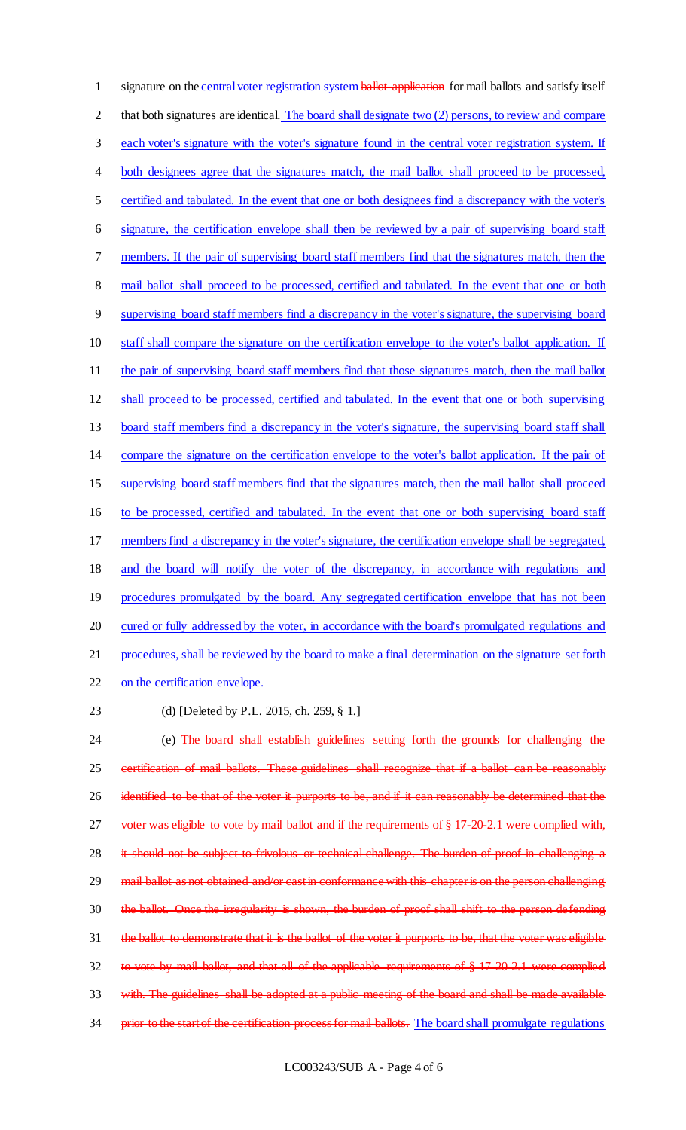1 signature on the central voter registration system ballot application for mail ballots and satisfy itself 2 that both signatures are identical. The board shall designate two (2) persons, to review and compare each voter's signature with the voter's signature found in the central voter registration system. If 4 both designees agree that the signatures match, the mail ballot shall proceed to be processed, certified and tabulated. In the event that one or both designees find a discrepancy with the voter's signature, the certification envelope shall then be reviewed by a pair of supervising board staff members. If the pair of supervising board staff members find that the signatures match, then the 8 mail ballot shall proceed to be processed, certified and tabulated. In the event that one or both supervising board staff members find a discrepancy in the voter's signature, the supervising board staff shall compare the signature on the certification envelope to the voter's ballot application. If 11 the pair of supervising board staff members find that those signatures match, then the mail ballot shall proceed to be processed, certified and tabulated. In the event that one or both supervising board staff members find a discrepancy in the voter's signature, the supervising board staff shall compare the signature on the certification envelope to the voter's ballot application. If the pair of supervising board staff members find that the signatures match, then the mail ballot shall proceed to be processed, certified and tabulated. In the event that one or both supervising board staff members find a discrepancy in the voter's signature, the certification envelope shall be segregated, and the board will notify the voter of the discrepancy, in accordance with regulations and 19 procedures promulgated by the board. Any segregated certification envelope that has not been cured or fully addressed by the voter, in accordance with the board's promulgated regulations and procedures, shall be reviewed by the board to make a final determination on the signature set forth on the certification envelope.

23 (d) [Deleted by P.L. 2015, ch. 259, § 1.]

24 (e) The board shall establish guidelines setting forth the grounds for challenging the 25 certification of mail ballots. These guidelines shall recognize that if a ballot can be reasonably 26 identified to be that of the voter it purports to be, and if it can reasonably be determined that the 27 voter was eligible to vote by mail ballot and if the requirements of § 17-20-2.1 were complied with, 28 it should not be subject to frivolous or technical challenge. The burden of proof in challenging a 29 mail ballot as not obtained and/or cast in conformance with this chapter is on the person challenging 30 the ballot. Once the irregularity is shown, the burden of proof shall shift to the person defending 31 the ballot to demonstrate that it is the ballot of the voter it purports to be, that the voter was eligible 32 to vote by mail ballot, and that all of the applicable requirements of § 17-20-2.1 were complied 33 with. The guidelines shall be adopted at a public meeting of the board and shall be made available 34 prior to the start of the certification process for mail ballots. The board shall promulgate regulations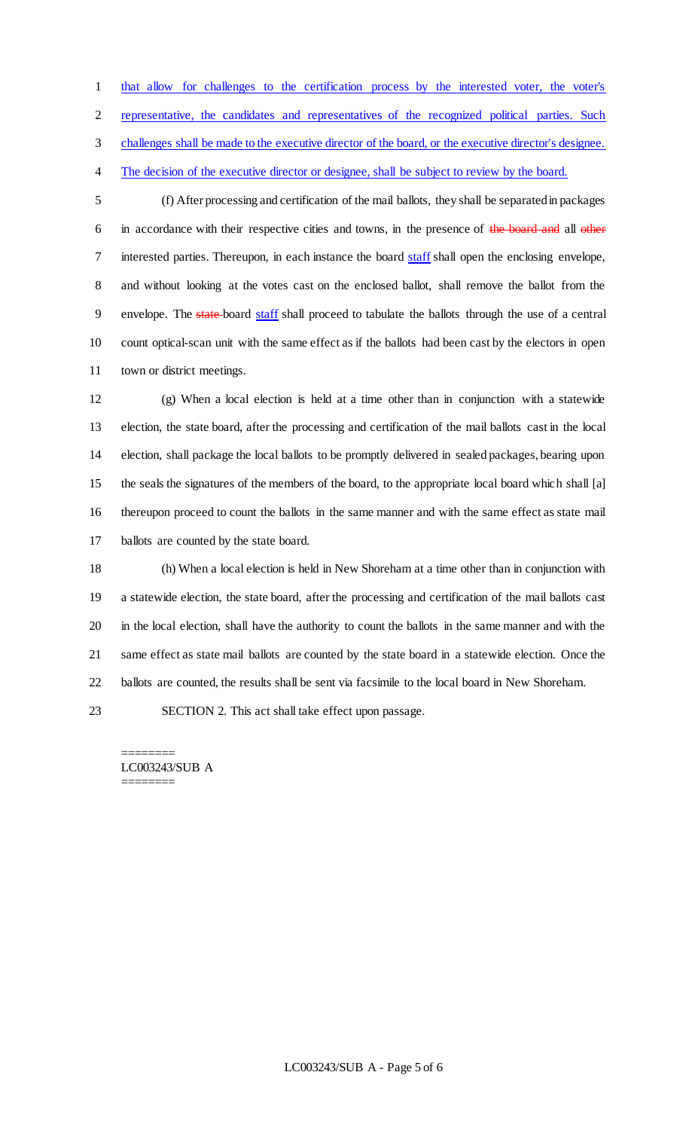that allow for challenges to the certification process by the interested voter, the voter's

representative, the candidates and representatives of the recognized political parties. Such

challenges shall be made to the executive director of the board, or the executive director's designee.

4 The decision of the executive director or designee, shall be subject to review by the board.

 (f) After processing and certification of the mail ballots, they shall be separated in packages 6 in accordance with their respective cities and towns, in the presence of the board and all other interested parties. Thereupon, in each instance the board staff shall open the enclosing envelope, and without looking at the votes cast on the enclosed ballot, shall remove the ballot from the 9 envelope. The state-board staff shall proceed to tabulate the ballots through the use of a central count optical-scan unit with the same effect as if the ballots had been cast by the electors in open town or district meetings.

 (g) When a local election is held at a time other than in conjunction with a statewide election, the state board, after the processing and certification of the mail ballots cast in the local election, shall package the local ballots to be promptly delivered in sealed packages, bearing upon the seals the signatures of the members of the board, to the appropriate local board which shall [a] thereupon proceed to count the ballots in the same manner and with the same effect as state mail ballots are counted by the state board.

 (h) When a local election is held in New Shoreham at a time other than in conjunction with a statewide election, the state board, after the processing and certification of the mail ballots cast in the local election, shall have the authority to count the ballots in the same manner and with the same effect as state mail ballots are counted by the state board in a statewide election. Once the ballots are counted, the results shall be sent via facsimile to the local board in New Shoreham.

SECTION 2. This act shall take effect upon passage.

======== LC003243/SUB A ========